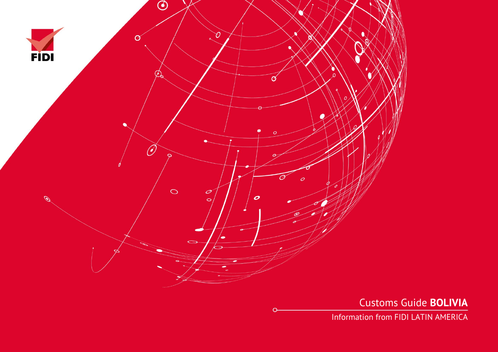

Customs Guide **BOLIVIA**

Information from FIDI LATIN AMERICA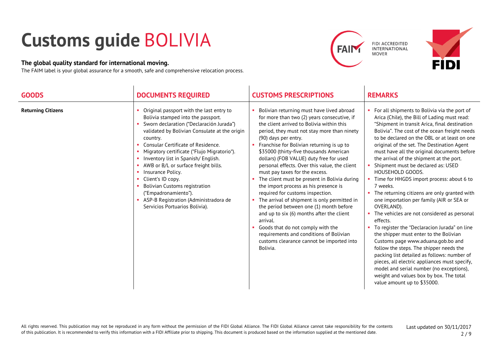## **Customs guide** BOLIVIA

## **The global quality standard for international moving.**

The FAIM label is your global assurance for a smooth, safe and comprehensive relocation process.





| <b>GOODS</b>              | <b>DOCUMENTS REQUIRED</b>                                                                                                                                                                                                                                                                                                                                                                                                                                                                                                                                       | <b>CUSTOMS PRESCRIPTIONS</b>                                                                                                                                                                                                                                                                                                                                                                                                                                                                                                                                                                                                                                                                                                                                                                                                                                   | <b>REMARKS</b>                                                                                                                                                                                                                                                                                                                                                                                                                                                                                                                                                                                                                                                                                                                                                                                                                                                                                                                                                                                                                                                                        |
|---------------------------|-----------------------------------------------------------------------------------------------------------------------------------------------------------------------------------------------------------------------------------------------------------------------------------------------------------------------------------------------------------------------------------------------------------------------------------------------------------------------------------------------------------------------------------------------------------------|----------------------------------------------------------------------------------------------------------------------------------------------------------------------------------------------------------------------------------------------------------------------------------------------------------------------------------------------------------------------------------------------------------------------------------------------------------------------------------------------------------------------------------------------------------------------------------------------------------------------------------------------------------------------------------------------------------------------------------------------------------------------------------------------------------------------------------------------------------------|---------------------------------------------------------------------------------------------------------------------------------------------------------------------------------------------------------------------------------------------------------------------------------------------------------------------------------------------------------------------------------------------------------------------------------------------------------------------------------------------------------------------------------------------------------------------------------------------------------------------------------------------------------------------------------------------------------------------------------------------------------------------------------------------------------------------------------------------------------------------------------------------------------------------------------------------------------------------------------------------------------------------------------------------------------------------------------------|
| <b>Returning Citizens</b> | Original passport with the last entry to<br>Bolivia stamped into the passport.<br>Sworn declaration ("Declaración Jurada")<br>validated by Bolivian Consulate at the origin<br>country.<br>Consular Certificate of Residence.<br>• Migratory certificate ("Flujo Migratorio").<br>Inventory list in Spanish/English.<br>• AWB or B/L or surface freight bills.<br>Insurance Policy.<br>a.<br>Client's ID copy.<br>m.<br><b>Bolivian Customs registration</b><br>("Empadronamiento").<br>ASP-B Registration (Administradora de<br>Servicios Portuarios Bolivia). | Bolivian returning must have lived abroad<br>for more than two (2) years consecutive, if<br>the client arrived to Bolivia within this<br>period, they must not stay more than ninety<br>(90) days per entry.<br>• Franchise for Bolivian returning is up to<br>\$35000 (thirty-five thousands American<br>dollars) (FOB VALUE) duty free for used<br>personal effects. Over this value, the client<br>must pay taxes for the excess.<br>The client must be present in Bolivia during<br>the import process as his presence is<br>required for customs inspection.<br>The arrival of shipment is only permitted in<br>the period between one (1) month before<br>and up to six (6) months after the client<br>arrival.<br>Goods that do not comply with the<br>requirements and conditions of Bolivian<br>customs clearance cannot be imported into<br>Bolivia. | For all shipments to Bolivia via the port of<br>Arica (Chile), the Bill of Lading must read:<br>"Shipment in transit Arica, final destination<br>Bolivia". The cost of the ocean freight needs<br>to be declared on the OBL or at least on one<br>original of the set. The Destination Agent<br>must have all the original documents before<br>the arrival of the shipment at the port.<br>Shipment must be declared as: USED<br>HOUSEHOLD GOODS.<br>• Time for HHGDS import process: about 6 to<br>7 weeks.<br>• The returning citizens are only granted with<br>one importation per family (AIR or SEA or<br>OVERLAND).<br>The vehicles are not considered as personal<br>effects.<br>To register the "Declaracion Jurada" on line<br>the shipper must enter to the Bolivian<br>Customs page www.aduana.gob.bo and<br>follow the steps. The shipper needs the<br>packing list detailed as follows: number of<br>pieces, all electric appliances must specify,<br>model and serial number (no exceptions),<br>weight and values box by box. The total<br>value amount up to \$35000. |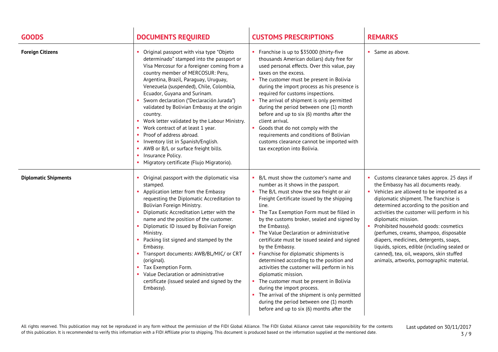| <b>GOODS</b>                | <b>DOCUMENTS REQUIRED</b>                                                                                                                                                                                                                                                                                                                                                                                                                                                                                                                                                                                                                                                  | <b>CUSTOMS PRESCRIPTIONS</b>                                                                                                                                                                                                                                                                                                                                                                                                                                                                                                                                                                                                                                                                                                                                                                     | <b>REMARKS</b>                                                                                                                                                                                                                                                                                                                                                                                                                                                                                                                                                                        |
|-----------------------------|----------------------------------------------------------------------------------------------------------------------------------------------------------------------------------------------------------------------------------------------------------------------------------------------------------------------------------------------------------------------------------------------------------------------------------------------------------------------------------------------------------------------------------------------------------------------------------------------------------------------------------------------------------------------------|--------------------------------------------------------------------------------------------------------------------------------------------------------------------------------------------------------------------------------------------------------------------------------------------------------------------------------------------------------------------------------------------------------------------------------------------------------------------------------------------------------------------------------------------------------------------------------------------------------------------------------------------------------------------------------------------------------------------------------------------------------------------------------------------------|---------------------------------------------------------------------------------------------------------------------------------------------------------------------------------------------------------------------------------------------------------------------------------------------------------------------------------------------------------------------------------------------------------------------------------------------------------------------------------------------------------------------------------------------------------------------------------------|
| <b>Foreign Citizens</b>     | Original passport with visa type "Objeto<br>determinado" stamped into the passport or<br>Visa Mercosur for a foreigner coming from a<br>country member of MERCOSUR: Peru,<br>Argentina, Brazil, Paraguay, Uruguay,<br>Venezuela (suspended), Chile, Colombia,<br>Ecuador, Guyana and Surinam.<br>Sworn declaration ("Declaración Jurada")<br>validated by Bolivian Embassy at the origin<br>country.<br>Work letter validated by the Labour Ministry.<br>• Work contract of at least 1 year.<br>Proof of address abroad.<br>Inventory list in Spanish/English.<br>AWB or B/L or surface freight bills.<br>Insurance Policy.<br>• Migratory certificate (Flujo Migratorio). | • Franchise is up to \$35000 (thirty-five<br>thousands American dollars) duty free for<br>used personal effects. Over this value, pay<br>taxes on the excess.<br>The customer must be present in Bolivia<br>during the import process as his presence is<br>required for customs inspections.<br>• The arrival of shipment is only permitted<br>during the period between one (1) month<br>before and up to six (6) months after the<br>client arrival.<br>• Goods that do not comply with the<br>requirements and conditions of Bolivian<br>customs clearance cannot be imported with<br>tax exception into Bolivia.                                                                                                                                                                            | • Same as above.                                                                                                                                                                                                                                                                                                                                                                                                                                                                                                                                                                      |
| <b>Diplomatic Shipments</b> | Original passport with the diplomatic visa<br>stamped.<br>Application letter from the Embassy<br>requesting the Diplomatic Accreditation to<br>Bolivian Foreign Ministry.<br>• Diplomatic Accreditation Letter with the<br>name and the position of the customer.<br>• Diplomatic ID issued by Bolivian Foreign<br>Ministry.<br>• Packing list signed and stamped by the<br>Embassy.<br>• Transport documents: AWB/BL/MIC/ or CRT<br>(original).<br>• Tax Exemption Form.<br>Value Declaration or administrative<br>certificate (issued sealed and signed by the<br>Embassy).                                                                                              | B/L must show the customer's name and<br>number as it shows in the passport.<br>• The B/L must show the sea freight or air<br>Freight Certificate issued by the shipping<br>line.<br>The Tax Exemption Form must be filled in<br>by the customs broker, sealed and signed by<br>the Embassy).<br>• The Value Declaration or administrative<br>certificate must be issued sealed and signed<br>by the Embassy.<br>• Franchise for diplomatic shipments is<br>determined according to the position and<br>activities the customer will perform in his<br>diplomatic mission.<br>• The customer must be present in Bolivia<br>during the import process.<br>• The arrival of the shipment is only permitted<br>during the period between one (1) month<br>before and up to six (6) months after the | • Customs clearance takes approx. 25 days if<br>the Embassy has all documents ready.<br>• Vehicles are allowed to be imported as a<br>diplomatic shipment. The franchise is<br>determined according to the position and<br>activities the customer will perform in his<br>diplomatic mission.<br>Prohibited household goods: cosmetics<br>$\mathbf{u}$ .<br>(perfumes, creams, shampoo, disposable<br>diapers, medicines, detergents, soaps,<br>liquids, spices, edible (including sealed or<br>canned), tea, oil, weapons, skin stuffed<br>animals, artworks, pornographic material. |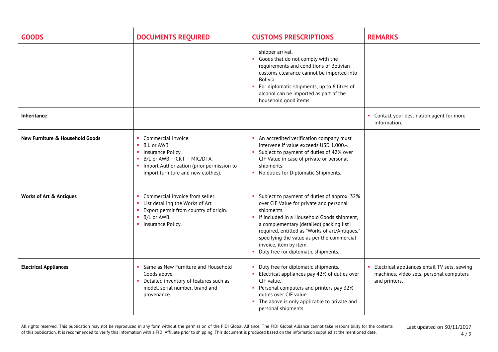| <b>GOODS</b>                               | <b>DOCUMENTS REQUIRED</b>                                                                                                                                                                           | <b>CUSTOMS PRESCRIPTIONS</b>                                                                                                                                                                                                                                                                                                                                     | <b>REMARKS</b>                                                                                              |
|--------------------------------------------|-----------------------------------------------------------------------------------------------------------------------------------------------------------------------------------------------------|------------------------------------------------------------------------------------------------------------------------------------------------------------------------------------------------------------------------------------------------------------------------------------------------------------------------------------------------------------------|-------------------------------------------------------------------------------------------------------------|
|                                            |                                                                                                                                                                                                     | shipper arrival.<br>• Goods that do not comply with the<br>requirements and conditions of Bolivian<br>customs clearance cannot be imported into<br>Bolivia.<br>For diplomatic shipments, up to 6 litres of<br>alcohol can be imported as part of the<br>household good items.                                                                                    |                                                                                                             |
| <b>Inheritance</b>                         |                                                                                                                                                                                                     |                                                                                                                                                                                                                                                                                                                                                                  | • Contact your destination agent for more<br>information.                                                   |
| <b>New Furniture &amp; Household Goods</b> | Commercial Invoice.<br>$\mathbf{H}$<br>B.L or AWB.<br>• Insurance Policy.<br>B/L or AWB - CRT - MIC/DTA.<br>п.<br>• Import Authorization (prior permission to<br>import furniture and new clothes). | An accredited verification company must<br>intervene if value exceeds USD 1.000 .-.<br>Subject to payment of duties of 42% over<br>CIF Value in case of private or personal<br>shipments.<br>No duties for Diplomatic Shipments.                                                                                                                                 |                                                                                                             |
| <b>Works of Art &amp; Antiques</b>         | Commercial invoice from seller.<br>List detailing the Works of Art.<br>$\mathbf{u}$ .<br>Export permit from country of origin.<br>$\mathbf{u}$<br>B/L or AWB.<br>п.<br>• Insurance Policy.          | Subject to payment of duties of approx. 32%<br>over CIF Value for private and personal<br>shipments.<br>If included in a Household Goods shipment,<br>a complementary (detailed) packing list I<br>required, entitled as "Works of art/Antiques,"<br>specifying the value as per the commercial<br>invoice, item by item.<br>Duty free for diplomatic shipments. |                                                                                                             |
| <b>Electrical Appliances</b>               | • Same as New Furniture and Household<br>Goods above.<br>Detailed inventory of features such as<br>model, serial number, brand and<br>provenance.                                                   | Duty free for diplomatic shipments.<br>• Electrical appliances pay 42% of duties over<br>CIF value.<br>• Personal computers and printers pay 32%<br>duties over CIF value.<br>The above is only applicable to private and<br>personal shipments.                                                                                                                 | • Electrical appliances entail TV sets, sewing<br>machines, video sets, personal computers<br>and printers. |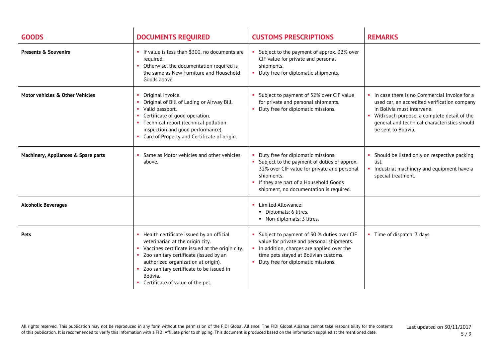| <b>GOODS</b>                        | <b>DOCUMENTS REQUIRED</b>                                                                                                                                                                                                                                                                                              | <b>CUSTOMS PRESCRIPTIONS</b>                                                                                                                                                                                                         | <b>REMARKS</b>                                                                                                                                                                                                                                     |
|-------------------------------------|------------------------------------------------------------------------------------------------------------------------------------------------------------------------------------------------------------------------------------------------------------------------------------------------------------------------|--------------------------------------------------------------------------------------------------------------------------------------------------------------------------------------------------------------------------------------|----------------------------------------------------------------------------------------------------------------------------------------------------------------------------------------------------------------------------------------------------|
| <b>Presents &amp; Souvenirs</b>     | If value is less than \$300, no documents are<br>required.<br>• Otherwise, the documentation required is<br>the same as New Furniture and Household<br>Goods above.                                                                                                                                                    | Subject to the payment of approx. 32% over<br>CIF value for private and personal<br>shipments.<br>Duty free for diplomatic shipments.                                                                                                |                                                                                                                                                                                                                                                    |
| Motor vehicles & Other Vehicles     | • Original invoice.<br>• Original of Bill of Lading or Airway Bill.<br>• Valid passport.<br>• Certificate of good operation.<br>Technical report (technical pollution<br>inspection and good performance).<br>• Card of Property and Certificate of origin.                                                            | Subject to payment of 52% over CIF value<br>for private and personal shipments.<br>Duty free for diplomatic missions.                                                                                                                | In case there is no Commercial Invoice for a<br>used car, an accredited verification company<br>in Bolivia must intervene.<br>• With such purpose, a complete detail of the<br>general and technical characteristics should<br>be sent to Bolivia. |
| Machinery, Appliances & Spare parts | Same as Motor vehicles and other vehicles<br>above.                                                                                                                                                                                                                                                                    | Duty free for diplomatic missions.<br>• Subject to the payment of duties of approx.<br>32% over CIF value for private and personal<br>shipments.<br>If they are part of a Household Goods<br>shipment, no documentation is required. | Should be listed only on respective packing<br>list.<br>Industrial machinery and equipment have a<br>special treatment.                                                                                                                            |
| <b>Alcoholic Beverages</b>          |                                                                                                                                                                                                                                                                                                                        | • Limited Allowance:<br>• Diplomats: 6 litres.<br>• Non-diplomats: 3 litres.                                                                                                                                                         |                                                                                                                                                                                                                                                    |
| <b>Pets</b>                         | • Health certificate issued by an official<br>veterinarian at the origin city.<br>• Vaccines certificate issued at the origin city.<br>• Zoo sanitary certificate (issued by an<br>authorized organization at origin).<br>• Zoo sanitary certificate to be issued in<br>Bolivia.<br>• Certificate of value of the pet. | Subject to payment of 30 % duties over CIF<br>value for private and personal shipments.<br>In addition, charges are applied over the<br>time pets stayed at Bolivian customs.<br>Duty free for diplomatic missions.                  | • Time of dispatch: 3 days.                                                                                                                                                                                                                        |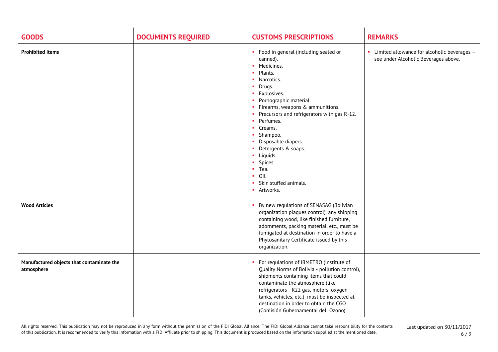| <b>GOODS</b>                                            | <b>DOCUMENTS REQUIRED</b> | <b>CUSTOMS PRESCRIPTIONS</b>                                                                                                                                                                                                                                                                                                                                                                                                                                                   | <b>REMARKS</b>                                                                        |
|---------------------------------------------------------|---------------------------|--------------------------------------------------------------------------------------------------------------------------------------------------------------------------------------------------------------------------------------------------------------------------------------------------------------------------------------------------------------------------------------------------------------------------------------------------------------------------------|---------------------------------------------------------------------------------------|
| <b>Prohibited Items</b>                                 |                           | • Food in general (including sealed or<br>canned).<br>• Medicines.<br>Plants.<br><b>COL</b><br>• Narcotics.<br>• Drugs.<br><b>Explosives.</b><br>• Pornographic material.<br>• Firearms, weapons & ammunitions.<br>Precursors and refrigerators with gas R-12.<br>Perfumes.<br>m.<br>Creams.<br>• Shampoo.<br>• Disposable diapers.<br>• Detergents & soaps.<br>· Liquids.<br>Spices.<br>٠<br>Tea.<br>×.<br>$\blacksquare$ Oil.<br>• Skin stuffed animals.<br><b>Artworks.</b> | • Limited allowance for alcoholic beverages -<br>see under Alcoholic Beverages above. |
| <b>Wood Articles</b>                                    |                           | By new regulations of SENASAG (Bolivian<br>organization plagues control), any shipping<br>containing wood, like finished furniture,<br>adornments, packing material, etc., must be<br>fumigated at destination in order to have a<br>Phytosanitary Certificate issued by this<br>organization.                                                                                                                                                                                 |                                                                                       |
| Manufactured objects that contaminate the<br>atmosphere |                           | • For regulations of IBMETRO (Institute of<br>Quality Norms of Bolivia - pollution control),<br>shipments containing items that could<br>contaminate the atmosphere (like<br>refrigerators - R22 gas, motors, oxygen<br>tanks, vehicles, etc.) must be inspected at<br>destination in order to obtain the CGO<br>(Comisión Gubernamental del Ozono)                                                                                                                            |                                                                                       |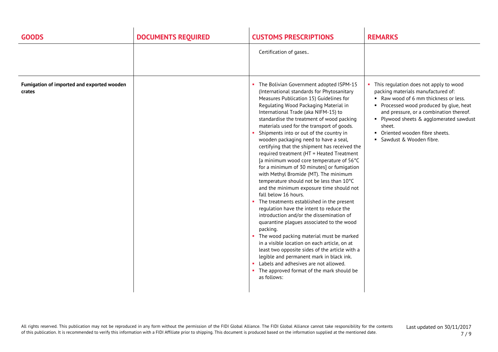| <b>GOODS</b>                                         | <b>DOCUMENTS REQUIRED</b> | <b>CUSTOMS PRESCRIPTIONS</b>                                                                                                                                                                                                                                                                                                                                                                                                                                                                                                                                                                                                                                                                                                                                                                                                                                                                                                                                                                                                                                                                                                                                                                                                                       | <b>REMARKS</b>                                                                                                                                                                                                                                                                                                                   |
|------------------------------------------------------|---------------------------|----------------------------------------------------------------------------------------------------------------------------------------------------------------------------------------------------------------------------------------------------------------------------------------------------------------------------------------------------------------------------------------------------------------------------------------------------------------------------------------------------------------------------------------------------------------------------------------------------------------------------------------------------------------------------------------------------------------------------------------------------------------------------------------------------------------------------------------------------------------------------------------------------------------------------------------------------------------------------------------------------------------------------------------------------------------------------------------------------------------------------------------------------------------------------------------------------------------------------------------------------|----------------------------------------------------------------------------------------------------------------------------------------------------------------------------------------------------------------------------------------------------------------------------------------------------------------------------------|
|                                                      |                           | Certification of gases                                                                                                                                                                                                                                                                                                                                                                                                                                                                                                                                                                                                                                                                                                                                                                                                                                                                                                                                                                                                                                                                                                                                                                                                                             |                                                                                                                                                                                                                                                                                                                                  |
| Fumigation of imported and exported wooden<br>crates |                           | The Bolivian Government adopted ISPM-15<br>(International standards for Phytosanitary<br>Measures Publication 15) Guidelines for<br>Regulating Wood Packaging Material in<br>International Trade (aka NIFM-15) to<br>standardise the treatment of wood packing<br>materials used for the transport of goods.<br>Shipments into or out of the country in<br>wooden packaging need to have a seal,<br>certifying that the shipment has received the<br>required treatment (HT = Heated Treatment<br>[a minimum wood core temperature of 56°C<br>for a minimum of 30 minutes] or fumigation<br>with Methyl Bromide (MT). The minimum<br>temperature should not be less than 10°C<br>and the minimum exposure time should not<br>fall below 16 hours.<br>• The treatments established in the present<br>regulation have the intent to reduce the<br>introduction and/or the dissemination of<br>quarantine plagues associated to the wood<br>packing.<br>The wood packing material must be marked<br>in a visible location on each article, on at<br>least two opposite sides of the article with a<br>legible and permanent mark in black ink.<br>• Labels and adhesives are not allowed.<br>The approved format of the mark should be<br>as follows: | • This regulation does not apply to wood<br>packing materials manufactured of:<br>Raw wood of 6 mm thickness or less.<br>• Processed wood produced by glue, heat<br>and pressure, or a combination thereof.<br>• Plywood sheets & agglomerated sawdust<br>sheet.<br>• Oriented wooden fibre sheets.<br>• Sawdust & Wooden fibre. |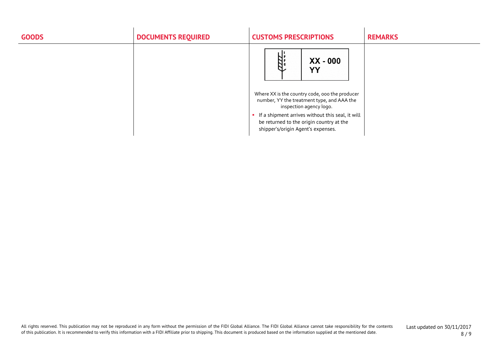| <b>GOODS</b> | <b>DOCUMENTS REQUIRED</b> | <b>CUSTOMS PRESCRIPTIONS</b>                                                                                                                                                                                                                                                              | <b>REMARKS</b> |
|--------------|---------------------------|-------------------------------------------------------------------------------------------------------------------------------------------------------------------------------------------------------------------------------------------------------------------------------------------|----------------|
|              |                           | 'nД.<br>XX - 000<br>YY<br>Where XX is the country code, ooo the producer<br>number, YY the treatment type, and AAA the<br>inspection agency logo.<br>• If a shipment arrives without this seal, it will<br>be returned to the origin country at the<br>shipper's/origin Agent's expenses. |                |